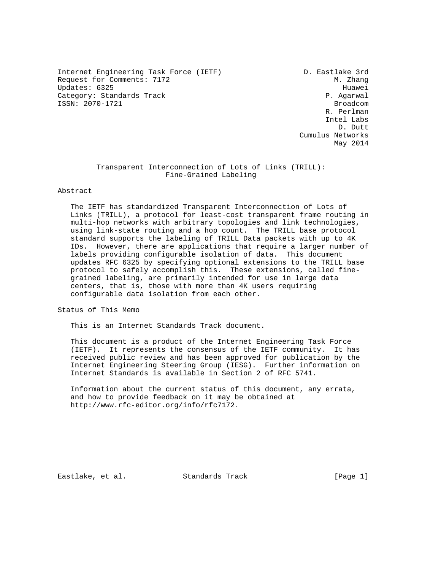Internet Engineering Task Force (IETF) D. Eastlake 3rd Request for Comments: 7172 M. Zhang Updates: 6325 Huawei<br>Category: Standards Track Category: Standards Track Category: Standards Track ISSN: 2070-1721 Broadcom Broadcom

 R. Perlman Intel Labs D. Dutt Cumulus Networks May 2014

# Transparent Interconnection of Lots of Links (TRILL): Fine-Grained Labeling

### Abstract

 The IETF has standardized Transparent Interconnection of Lots of Links (TRILL), a protocol for least-cost transparent frame routing in multi-hop networks with arbitrary topologies and link technologies, using link-state routing and a hop count. The TRILL base protocol standard supports the labeling of TRILL Data packets with up to 4K IDs. However, there are applications that require a larger number of labels providing configurable isolation of data. This document updates RFC 6325 by specifying optional extensions to the TRILL base protocol to safely accomplish this. These extensions, called fine grained labeling, are primarily intended for use in large data centers, that is, those with more than 4K users requiring configurable data isolation from each other.

Status of This Memo

This is an Internet Standards Track document.

 This document is a product of the Internet Engineering Task Force (IETF). It represents the consensus of the IETF community. It has received public review and has been approved for publication by the Internet Engineering Steering Group (IESG). Further information on Internet Standards is available in Section 2 of RFC 5741.

 Information about the current status of this document, any errata, and how to provide feedback on it may be obtained at http://www.rfc-editor.org/info/rfc7172.

Eastlake, et al. Standards Track [Page 1]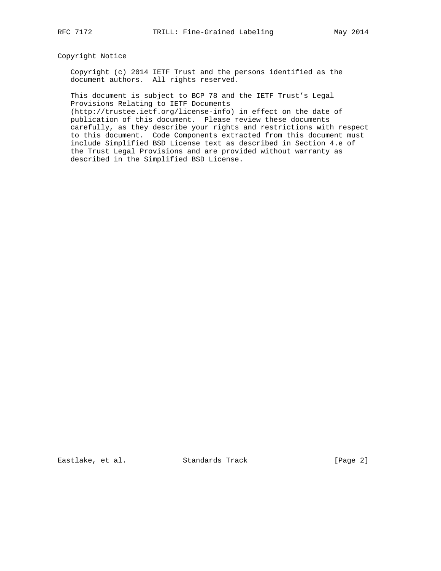# Copyright Notice

 Copyright (c) 2014 IETF Trust and the persons identified as the document authors. All rights reserved.

 This document is subject to BCP 78 and the IETF Trust's Legal Provisions Relating to IETF Documents

 (http://trustee.ietf.org/license-info) in effect on the date of publication of this document. Please review these documents carefully, as they describe your rights and restrictions with respect to this document. Code Components extracted from this document must include Simplified BSD License text as described in Section 4.e of the Trust Legal Provisions and are provided without warranty as described in the Simplified BSD License.

Eastlake, et al. Standards Track [Page 2]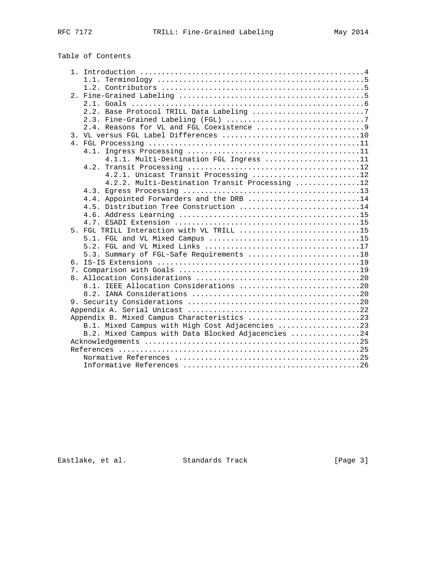# Table of Contents

|  | 2.2. Base Protocol TRILL Data Labeling 7           |
|--|----------------------------------------------------|
|  |                                                    |
|  |                                                    |
|  |                                                    |
|  |                                                    |
|  |                                                    |
|  | 4.1.1. Multi-Destination FGL Ingress 11            |
|  |                                                    |
|  | 4.2.1. Unicast Transit Processing 12               |
|  | 4.2.2. Multi-Destination Transit Processing 12     |
|  |                                                    |
|  | 4.4. Appointed Forwarders and the DRB 14           |
|  | 4.5. Distribution Tree Construction 14             |
|  |                                                    |
|  |                                                    |
|  | 5. FGL TRILL Interaction with VL TRILL 15          |
|  |                                                    |
|  |                                                    |
|  | 5.3. Summary of FGL-Safe Requirements 18           |
|  |                                                    |
|  |                                                    |
|  |                                                    |
|  | 8.1. IEEE Allocation Considerations 20             |
|  |                                                    |
|  |                                                    |
|  |                                                    |
|  |                                                    |
|  | B.1. Mixed Campus with High Cost Adjacencies 23    |
|  | B.2. Mixed Campus with Data Blocked Adjacencies 24 |
|  |                                                    |
|  |                                                    |
|  |                                                    |
|  |                                                    |

Eastlake, et al. Standards Track [Page 3]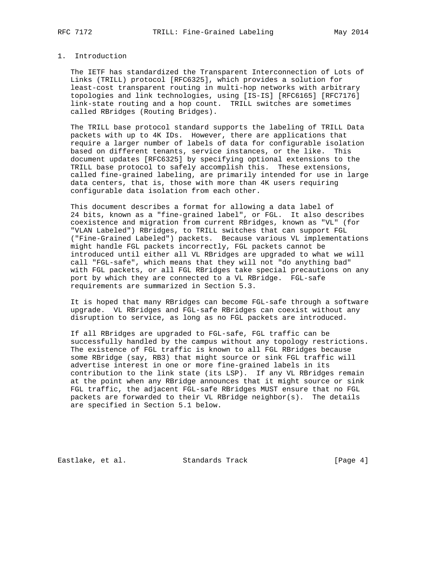# 1. Introduction

 The IETF has standardized the Transparent Interconnection of Lots of Links (TRILL) protocol [RFC6325], which provides a solution for least-cost transparent routing in multi-hop networks with arbitrary topologies and link technologies, using [IS-IS] [RFC6165] [RFC7176] link-state routing and a hop count. TRILL switches are sometimes called RBridges (Routing Bridges).

 The TRILL base protocol standard supports the labeling of TRILL Data packets with up to 4K IDs. However, there are applications that require a larger number of labels of data for configurable isolation based on different tenants, service instances, or the like. This document updates [RFC6325] by specifying optional extensions to the TRILL base protocol to safely accomplish this. These extensions, called fine-grained labeling, are primarily intended for use in large data centers, that is, those with more than 4K users requiring configurable data isolation from each other.

 This document describes a format for allowing a data label of 24 bits, known as a "fine-grained label", or FGL. It also describes coexistence and migration from current RBridges, known as "VL" (for "VLAN Labeled") RBridges, to TRILL switches that can support FGL ("Fine-Grained Labeled") packets. Because various VL implementations might handle FGL packets incorrectly, FGL packets cannot be introduced until either all VL RBridges are upgraded to what we will call "FGL-safe", which means that they will not "do anything bad" with FGL packets, or all FGL RBridges take special precautions on any port by which they are connected to a VL RBridge. FGL-safe requirements are summarized in Section 5.3.

 It is hoped that many RBridges can become FGL-safe through a software upgrade. VL RBridges and FGL-safe RBridges can coexist without any disruption to service, as long as no FGL packets are introduced.

 If all RBridges are upgraded to FGL-safe, FGL traffic can be successfully handled by the campus without any topology restrictions. The existence of FGL traffic is known to all FGL RBridges because some RBridge (say, RB3) that might source or sink FGL traffic will advertise interest in one or more fine-grained labels in its contribution to the link state (its LSP). If any VL RBridges remain at the point when any RBridge announces that it might source or sink FGL traffic, the adjacent FGL-safe RBridges MUST ensure that no FGL packets are forwarded to their VL RBridge neighbor(s). The details are specified in Section 5.1 below.

Eastlake, et al. Standards Track [Page 4]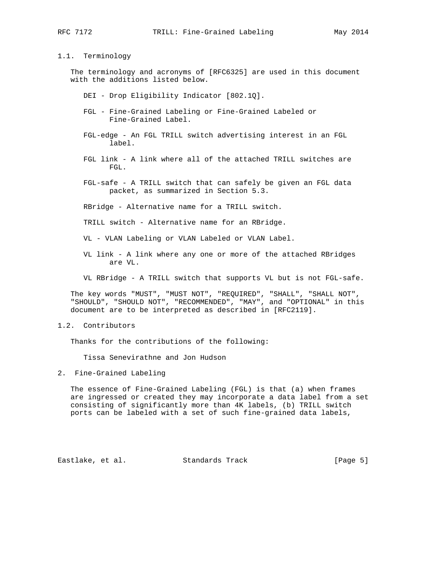#### 1.1. Terminology

 The terminology and acronyms of [RFC6325] are used in this document with the additions listed below.

- DEI Drop Eligibility Indicator [802.1Q].
- FGL Fine-Grained Labeling or Fine-Grained Labeled or Fine-Grained Label.
- FGL-edge An FGL TRILL switch advertising interest in an FGL label.
- FGL link A link where all of the attached TRILL switches are FGL.
- FGL-safe A TRILL switch that can safely be given an FGL data packet, as summarized in Section 5.3.

RBridge - Alternative name for a TRILL switch.

TRILL switch - Alternative name for an RBridge.

VL - VLAN Labeling or VLAN Labeled or VLAN Label.

- VL link A link where any one or more of the attached RBridges are VL.
- VL RBridge A TRILL switch that supports VL but is not FGL-safe.

 The key words "MUST", "MUST NOT", "REQUIRED", "SHALL", "SHALL NOT", "SHOULD", "SHOULD NOT", "RECOMMENDED", "MAY", and "OPTIONAL" in this document are to be interpreted as described in [RFC2119].

1.2. Contributors

Thanks for the contributions of the following:

Tissa Senevirathne and Jon Hudson

2. Fine-Grained Labeling

 The essence of Fine-Grained Labeling (FGL) is that (a) when frames are ingressed or created they may incorporate a data label from a set consisting of significantly more than 4K labels, (b) TRILL switch ports can be labeled with a set of such fine-grained data labels,

Eastlake, et al. Standards Track [Page 5]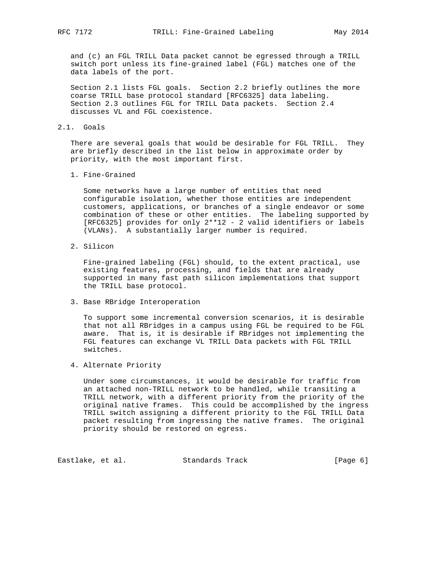and (c) an FGL TRILL Data packet cannot be egressed through a TRILL switch port unless its fine-grained label (FGL) matches one of the data labels of the port.

 Section 2.1 lists FGL goals. Section 2.2 briefly outlines the more coarse TRILL base protocol standard [RFC6325] data labeling. Section 2.3 outlines FGL for TRILL Data packets. Section 2.4 discusses VL and FGL coexistence.

2.1. Goals

 There are several goals that would be desirable for FGL TRILL. They are briefly described in the list below in approximate order by priority, with the most important first.

1. Fine-Grained

 Some networks have a large number of entities that need configurable isolation, whether those entities are independent customers, applications, or branches of a single endeavor or some combination of these or other entities. The labeling supported by [RFC6325] provides for only 2\*\*12 - 2 valid identifiers or labels (VLANs). A substantially larger number is required.

2. Silicon

 Fine-grained labeling (FGL) should, to the extent practical, use existing features, processing, and fields that are already supported in many fast path silicon implementations that support the TRILL base protocol.

3. Base RBridge Interoperation

 To support some incremental conversion scenarios, it is desirable that not all RBridges in a campus using FGL be required to be FGL aware. That is, it is desirable if RBridges not implementing the FGL features can exchange VL TRILL Data packets with FGL TRILL switches.

4. Alternate Priority

 Under some circumstances, it would be desirable for traffic from an attached non-TRILL network to be handled, while transiting a TRILL network, with a different priority from the priority of the original native frames. This could be accomplished by the ingress TRILL switch assigning a different priority to the FGL TRILL Data packet resulting from ingressing the native frames. The original priority should be restored on egress.

Eastlake, et al. Standards Track [Page 6]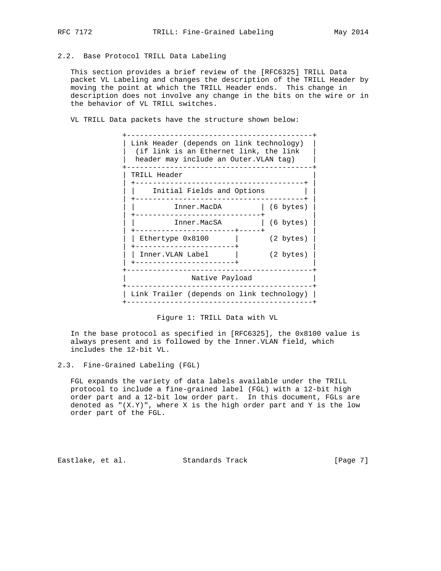# 2.2. Base Protocol TRILL Data Labeling

 This section provides a brief review of the [RFC6325] TRILL Data packet VL Labeling and changes the description of the TRILL Header by moving the point at which the TRILL Header ends. This change in description does not involve any change in the bits on the wire or in the behavior of VL TRILL switches.

VL TRILL Data packets have the structure shown below:



Figure 1: TRILL Data with VL

 In the base protocol as specified in [RFC6325], the 0x8100 value is always present and is followed by the Inner.VLAN field, which includes the 12-bit VL.

 FGL expands the variety of data labels available under the TRILL protocol to include a fine-grained label (FGL) with a 12-bit high order part and a 12-bit low order part. In this document, FGLs are denoted as  $\{(X,Y)\}$ , where X is the high order part and Y is the low order part of the FGL.

Eastlake, et al. Standards Track [Page 7]

<sup>2.3.</sup> Fine-Grained Labeling (FGL)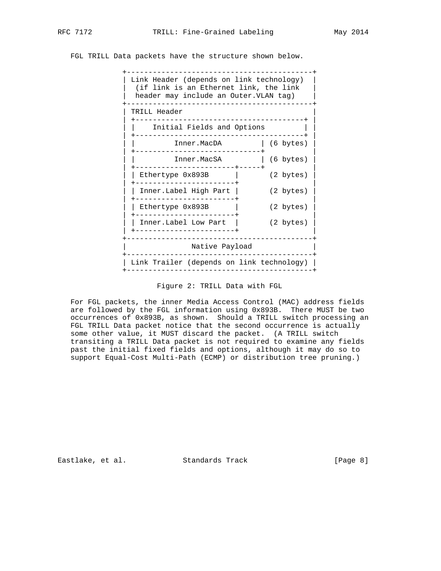FGL TRILL Data packets have the structure shown below.



#### Figure 2: TRILL Data with FGL

 For FGL packets, the inner Media Access Control (MAC) address fields are followed by the FGL information using 0x893B. There MUST be two occurrences of 0x893B, as shown. Should a TRILL switch processing an FGL TRILL Data packet notice that the second occurrence is actually some other value, it MUST discard the packet. (A TRILL switch transiting a TRILL Data packet is not required to examine any fields past the initial fixed fields and options, although it may do so to support Equal-Cost Multi-Path (ECMP) or distribution tree pruning.)

Eastlake, et al. Standards Track [Page 8]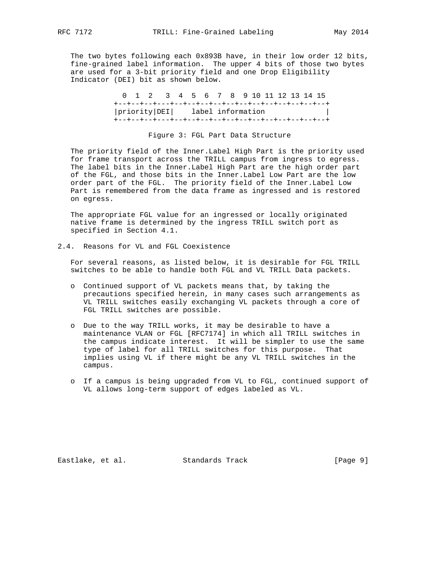The two bytes following each 0x893B have, in their low order 12 bits, fine-grained label information. The upper 4 bits of those two bytes are used for a 3-bit priority field and one Drop Eligibility Indicator (DEI) bit as shown below.

|  | 0 1 2 3 4 5 6 7 8 9 10 11 12 13 14 15 |  |  |  |  |  |  |  |
|--|---------------------------------------|--|--|--|--|--|--|--|
|  |                                       |  |  |  |  |  |  |  |
|  | priority DEI  label information       |  |  |  |  |  |  |  |
|  |                                       |  |  |  |  |  |  |  |

#### Figure 3: FGL Part Data Structure

 The priority field of the Inner.Label High Part is the priority used for frame transport across the TRILL campus from ingress to egress. The label bits in the Inner.Label High Part are the high order part of the FGL, and those bits in the Inner.Label Low Part are the low order part of the FGL. The priority field of the Inner.Label Low Part is remembered from the data frame as ingressed and is restored on egress.

 The appropriate FGL value for an ingressed or locally originated native frame is determined by the ingress TRILL switch port as specified in Section 4.1.

2.4. Reasons for VL and FGL Coexistence

 For several reasons, as listed below, it is desirable for FGL TRILL switches to be able to handle both FGL and VL TRILL Data packets.

- o Continued support of VL packets means that, by taking the precautions specified herein, in many cases such arrangements as VL TRILL switches easily exchanging VL packets through a core of FGL TRILL switches are possible.
- o Due to the way TRILL works, it may be desirable to have a maintenance VLAN or FGL [RFC7174] in which all TRILL switches in the campus indicate interest. It will be simpler to use the same type of label for all TRILL switches for this purpose. That implies using VL if there might be any VL TRILL switches in the campus.
- o If a campus is being upgraded from VL to FGL, continued support of VL allows long-term support of edges labeled as VL.

Eastlake, et al. Standards Track [Page 9]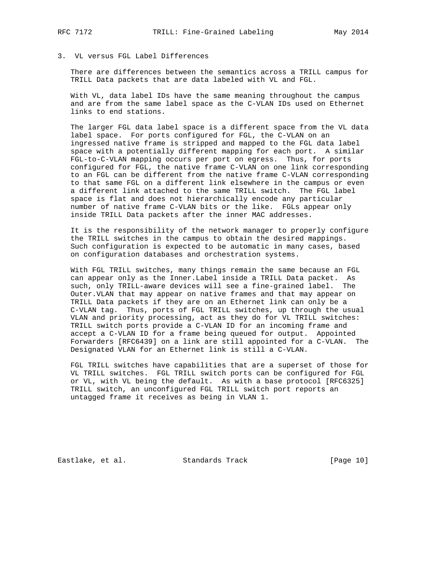# 3. VL versus FGL Label Differences

 There are differences between the semantics across a TRILL campus for TRILL Data packets that are data labeled with VL and FGL.

 With VL, data label IDs have the same meaning throughout the campus and are from the same label space as the C-VLAN IDs used on Ethernet links to end stations.

 The larger FGL data label space is a different space from the VL data label space. For ports configured for FGL, the C-VLAN on an ingressed native frame is stripped and mapped to the FGL data label space with a potentially different mapping for each port. A similar FGL-to-C-VLAN mapping occurs per port on egress. Thus, for ports configured for FGL, the native frame C-VLAN on one link corresponding to an FGL can be different from the native frame C-VLAN corresponding to that same FGL on a different link elsewhere in the campus or even a different link attached to the same TRILL switch. The FGL label space is flat and does not hierarchically encode any particular number of native frame C-VLAN bits or the like. FGLs appear only inside TRILL Data packets after the inner MAC addresses.

 It is the responsibility of the network manager to properly configure the TRILL switches in the campus to obtain the desired mappings. Such configuration is expected to be automatic in many cases, based on configuration databases and orchestration systems.

 With FGL TRILL switches, many things remain the same because an FGL can appear only as the Inner.Label inside a TRILL Data packet. As such, only TRILL-aware devices will see a fine-grained label. The Outer.VLAN that may appear on native frames and that may appear on TRILL Data packets if they are on an Ethernet link can only be a C-VLAN tag. Thus, ports of FGL TRILL switches, up through the usual VLAN and priority processing, act as they do for VL TRILL switches: TRILL switch ports provide a C-VLAN ID for an incoming frame and accept a C-VLAN ID for a frame being queued for output. Appointed Forwarders [RFC6439] on a link are still appointed for a C-VLAN. The Designated VLAN for an Ethernet link is still a C-VLAN.

 FGL TRILL switches have capabilities that are a superset of those for VL TRILL switches. FGL TRILL switch ports can be configured for FGL or VL, with VL being the default. As with a base protocol [RFC6325] TRILL switch, an unconfigured FGL TRILL switch port reports an untagged frame it receives as being in VLAN 1.

Eastlake, et al. Standards Track [Page 10]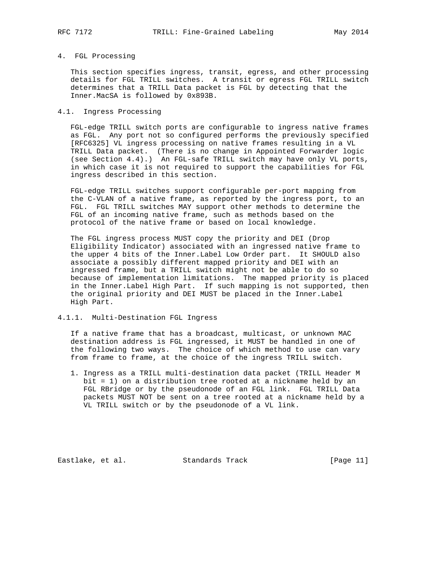#### 4. FGL Processing

 This section specifies ingress, transit, egress, and other processing details for FGL TRILL switches. A transit or egress FGL TRILL switch determines that a TRILL Data packet is FGL by detecting that the Inner.MacSA is followed by 0x893B.

### 4.1. Ingress Processing

 FGL-edge TRILL switch ports are configurable to ingress native frames as FGL. Any port not so configured performs the previously specified [RFC6325] VL ingress processing on native frames resulting in a VL TRILL Data packet. (There is no change in Appointed Forwarder logic (see Section 4.4).) An FGL-safe TRILL switch may have only VL ports, in which case it is not required to support the capabilities for FGL ingress described in this section.

 FGL-edge TRILL switches support configurable per-port mapping from the C-VLAN of a native frame, as reported by the ingress port, to an FGL. FGL TRILL switches MAY support other methods to determine the FGL of an incoming native frame, such as methods based on the protocol of the native frame or based on local knowledge.

 The FGL ingress process MUST copy the priority and DEI (Drop Eligibility Indicator) associated with an ingressed native frame to the upper 4 bits of the Inner.Label Low Order part. It SHOULD also associate a possibly different mapped priority and DEI with an ingressed frame, but a TRILL switch might not be able to do so because of implementation limitations. The mapped priority is placed in the Inner.Label High Part. If such mapping is not supported, then the original priority and DEI MUST be placed in the Inner.Label High Part.

# 4.1.1. Multi-Destination FGL Ingress

 If a native frame that has a broadcast, multicast, or unknown MAC destination address is FGL ingressed, it MUST be handled in one of the following two ways. The choice of which method to use can vary from frame to frame, at the choice of the ingress TRILL switch.

 1. Ingress as a TRILL multi-destination data packet (TRILL Header M bit = 1) on a distribution tree rooted at a nickname held by an FGL RBridge or by the pseudonode of an FGL link. FGL TRILL Data packets MUST NOT be sent on a tree rooted at a nickname held by a VL TRILL switch or by the pseudonode of a VL link.

Eastlake, et al. Standards Track [Page 11]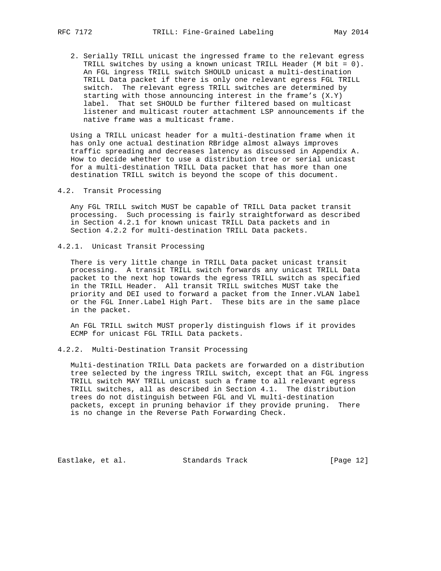2. Serially TRILL unicast the ingressed frame to the relevant egress TRILL switches by using a known unicast TRILL Header (M bit = 0). An FGL ingress TRILL switch SHOULD unicast a multi-destination TRILL Data packet if there is only one relevant egress FGL TRILL switch. The relevant egress TRILL switches are determined by starting with those announcing interest in the frame's (X.Y) label. That set SHOULD be further filtered based on multicast listener and multicast router attachment LSP announcements if the native frame was a multicast frame.

 Using a TRILL unicast header for a multi-destination frame when it has only one actual destination RBridge almost always improves traffic spreading and decreases latency as discussed in Appendix A. How to decide whether to use a distribution tree or serial unicast for a multi-destination TRILL Data packet that has more than one destination TRILL switch is beyond the scope of this document.

4.2. Transit Processing

 Any FGL TRILL switch MUST be capable of TRILL Data packet transit processing. Such processing is fairly straightforward as described in Section 4.2.1 for known unicast TRILL Data packets and in Section 4.2.2 for multi-destination TRILL Data packets.

4.2.1. Unicast Transit Processing

 There is very little change in TRILL Data packet unicast transit processing. A transit TRILL switch forwards any unicast TRILL Data packet to the next hop towards the egress TRILL switch as specified in the TRILL Header. All transit TRILL switches MUST take the priority and DEI used to forward a packet from the Inner.VLAN label or the FGL Inner.Label High Part. These bits are in the same place in the packet.

 An FGL TRILL switch MUST properly distinguish flows if it provides ECMP for unicast FGL TRILL Data packets.

4.2.2. Multi-Destination Transit Processing

 Multi-destination TRILL Data packets are forwarded on a distribution tree selected by the ingress TRILL switch, except that an FGL ingress TRILL switch MAY TRILL unicast such a frame to all relevant egress TRILL switches, all as described in Section 4.1. The distribution trees do not distinguish between FGL and VL multi-destination packets, except in pruning behavior if they provide pruning. There is no change in the Reverse Path Forwarding Check.

Eastlake, et al. Standards Track [Page 12]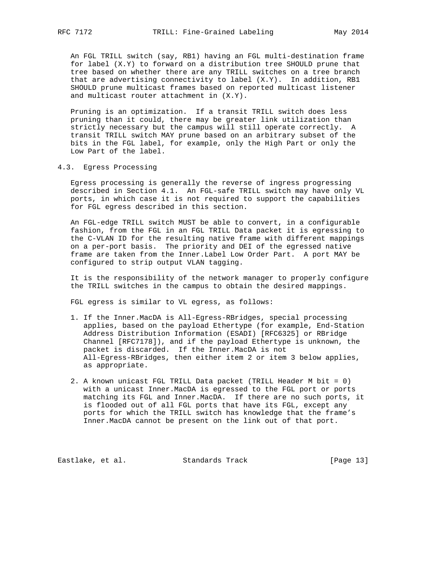An FGL TRILL switch (say, RB1) having an FGL multi-destination frame for label (X.Y) to forward on a distribution tree SHOULD prune that tree based on whether there are any TRILL switches on a tree branch that are advertising connectivity to label (X.Y). In addition, RB1 SHOULD prune multicast frames based on reported multicast listener and multicast router attachment in (X.Y).

 Pruning is an optimization. If a transit TRILL switch does less pruning than it could, there may be greater link utilization than strictly necessary but the campus will still operate correctly. A transit TRILL switch MAY prune based on an arbitrary subset of the bits in the FGL label, for example, only the High Part or only the Low Part of the label.

4.3. Egress Processing

 Egress processing is generally the reverse of ingress progressing described in Section 4.1. An FGL-safe TRILL switch may have only VL ports, in which case it is not required to support the capabilities for FGL egress described in this section.

 An FGL-edge TRILL switch MUST be able to convert, in a configurable fashion, from the FGL in an FGL TRILL Data packet it is egressing to the C-VLAN ID for the resulting native frame with different mappings on a per-port basis. The priority and DEI of the egressed native frame are taken from the Inner.Label Low Order Part. A port MAY be configured to strip output VLAN tagging.

 It is the responsibility of the network manager to properly configure the TRILL switches in the campus to obtain the desired mappings.

FGL egress is similar to VL egress, as follows:

- 1. If the Inner.MacDA is All-Egress-RBridges, special processing applies, based on the payload Ethertype (for example, End-Station Address Distribution Information (ESADI) [RFC6325] or RBridge Channel [RFC7178]), and if the payload Ethertype is unknown, the packet is discarded. If the Inner.MacDA is not All-Egress-RBridges, then either item 2 or item 3 below applies, as appropriate.
- 2. A known unicast FGL TRILL Data packet (TRILL Header M bit = 0) with a unicast Inner.MacDA is egressed to the FGL port or ports matching its FGL and Inner.MacDA. If there are no such ports, it is flooded out of all FGL ports that have its FGL, except any ports for which the TRILL switch has knowledge that the frame's Inner.MacDA cannot be present on the link out of that port.

Eastlake, et al. Standards Track [Page 13]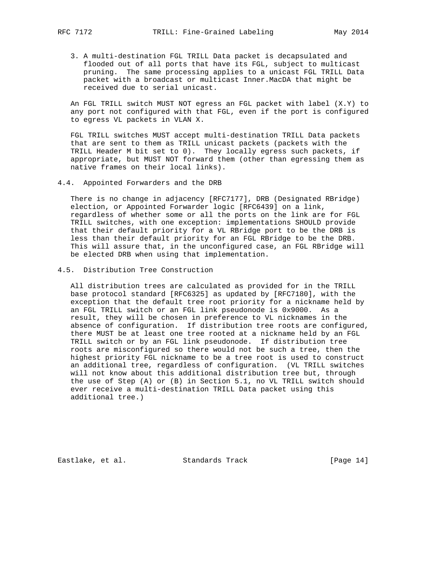3. A multi-destination FGL TRILL Data packet is decapsulated and flooded out of all ports that have its FGL, subject to multicast pruning. The same processing applies to a unicast FGL TRILL Data packet with a broadcast or multicast Inner.MacDA that might be received due to serial unicast.

 An FGL TRILL switch MUST NOT egress an FGL packet with label (X.Y) to any port not configured with that FGL, even if the port is configured to egress VL packets in VLAN X.

 FGL TRILL switches MUST accept multi-destination TRILL Data packets that are sent to them as TRILL unicast packets (packets with the TRILL Header M bit set to 0). They locally egress such packets, if appropriate, but MUST NOT forward them (other than egressing them as native frames on their local links).

4.4. Appointed Forwarders and the DRB

 There is no change in adjacency [RFC7177], DRB (Designated RBridge) election, or Appointed Forwarder logic [RFC6439] on a link, regardless of whether some or all the ports on the link are for FGL TRILL switches, with one exception: implementations SHOULD provide that their default priority for a VL RBridge port to be the DRB is less than their default priority for an FGL RBridge to be the DRB. This will assure that, in the unconfigured case, an FGL RBridge will be elected DRB when using that implementation.

#### 4.5. Distribution Tree Construction

 All distribution trees are calculated as provided for in the TRILL base protocol standard [RFC6325] as updated by [RFC7180], with the exception that the default tree root priority for a nickname held by an FGL TRILL switch or an FGL link pseudonode is 0x9000. As a result, they will be chosen in preference to VL nicknames in the absence of configuration. If distribution tree roots are configured, there MUST be at least one tree rooted at a nickname held by an FGL TRILL switch or by an FGL link pseudonode. If distribution tree roots are misconfigured so there would not be such a tree, then the highest priority FGL nickname to be a tree root is used to construct an additional tree, regardless of configuration. (VL TRILL switches will not know about this additional distribution tree but, through the use of Step (A) or (B) in Section 5.1, no VL TRILL switch should ever receive a multi-destination TRILL Data packet using this additional tree.)

Eastlake, et al. Standards Track [Page 14]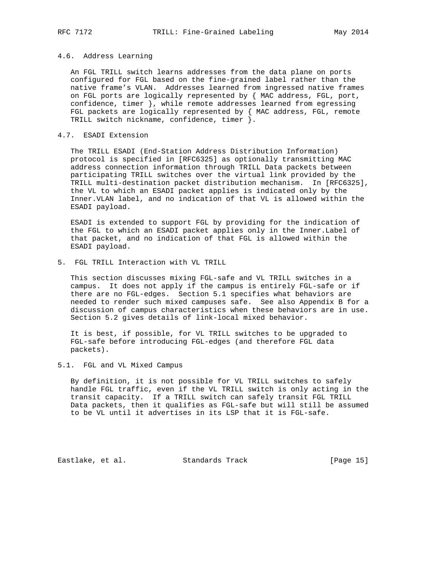#### 4.6. Address Learning

 An FGL TRILL switch learns addresses from the data plane on ports configured for FGL based on the fine-grained label rather than the native frame's VLAN. Addresses learned from ingressed native frames on FGL ports are logically represented by { MAC address, FGL, port, confidence, timer }, while remote addresses learned from egressing FGL packets are logically represented by { MAC address, FGL, remote TRILL switch nickname, confidence, timer }.

### 4.7. ESADI Extension

 The TRILL ESADI (End-Station Address Distribution Information) protocol is specified in [RFC6325] as optionally transmitting MAC address connection information through TRILL Data packets between participating TRILL switches over the virtual link provided by the TRILL multi-destination packet distribution mechanism. In [RFC6325], the VL to which an ESADI packet applies is indicated only by the Inner.VLAN label, and no indication of that VL is allowed within the ESADI payload.

 ESADI is extended to support FGL by providing for the indication of the FGL to which an ESADI packet applies only in the Inner.Label of that packet, and no indication of that FGL is allowed within the ESADI payload.

5. FGL TRILL Interaction with VL TRILL

 This section discusses mixing FGL-safe and VL TRILL switches in a campus. It does not apply if the campus is entirely FGL-safe or if there are no FGL-edges. Section 5.1 specifies what behaviors are needed to render such mixed campuses safe. See also Appendix B for a discussion of campus characteristics when these behaviors are in use. Section 5.2 gives details of link-local mixed behavior.

 It is best, if possible, for VL TRILL switches to be upgraded to FGL-safe before introducing FGL-edges (and therefore FGL data packets).

5.1. FGL and VL Mixed Campus

 By definition, it is not possible for VL TRILL switches to safely handle FGL traffic, even if the VL TRILL switch is only acting in the transit capacity. If a TRILL switch can safely transit FGL TRILL Data packets, then it qualifies as FGL-safe but will still be assumed to be VL until it advertises in its LSP that it is FGL-safe.

Eastlake, et al. Standards Track [Page 15]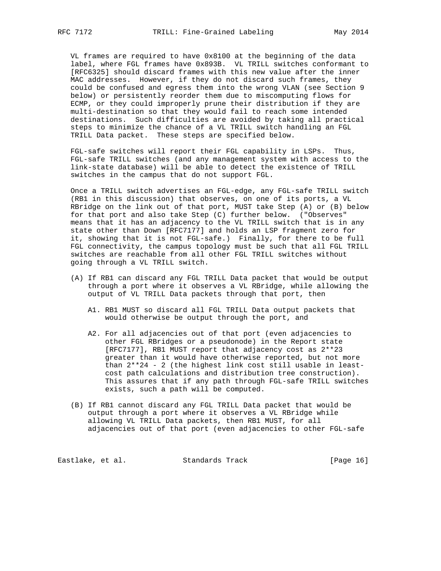VL frames are required to have 0x8100 at the beginning of the data label, where FGL frames have 0x893B. VL TRILL switches conformant to [RFC6325] should discard frames with this new value after the inner MAC addresses. However, if they do not discard such frames, they could be confused and egress them into the wrong VLAN (see Section 9 below) or persistently reorder them due to miscomputing flows for ECMP, or they could improperly prune their distribution if they are multi-destination so that they would fail to reach some intended destinations. Such difficulties are avoided by taking all practical steps to minimize the chance of a VL TRILL switch handling an FGL TRILL Data packet. These steps are specified below.

 FGL-safe switches will report their FGL capability in LSPs. Thus, FGL-safe TRILL switches (and any management system with access to the link-state database) will be able to detect the existence of TRILL switches in the campus that do not support FGL.

 Once a TRILL switch advertises an FGL-edge, any FGL-safe TRILL switch (RB1 in this discussion) that observes, on one of its ports, a VL RBridge on the link out of that port, MUST take Step (A) or (B) below for that port and also take Step (C) further below. ("Observes" means that it has an adjacency to the VL TRILL switch that is in any state other than Down [RFC7177] and holds an LSP fragment zero for it, showing that it is not FGL-safe.) Finally, for there to be full FGL connectivity, the campus topology must be such that all FGL TRILL switches are reachable from all other FGL TRILL switches without going through a VL TRILL switch.

- (A) If RB1 can discard any FGL TRILL Data packet that would be output through a port where it observes a VL RBridge, while allowing the output of VL TRILL Data packets through that port, then
	- A1. RB1 MUST so discard all FGL TRILL Data output packets that would otherwise be output through the port, and
	- A2. For all adjacencies out of that port (even adjacencies to other FGL RBridges or a pseudonode) in the Report state [RFC7177], RB1 MUST report that adjacency cost as 2\*\*23 greater than it would have otherwise reported, but not more than 2\*\*24 - 2 (the highest link cost still usable in least cost path calculations and distribution tree construction). This assures that if any path through FGL-safe TRILL switches exists, such a path will be computed.
- (B) If RB1 cannot discard any FGL TRILL Data packet that would be output through a port where it observes a VL RBridge while allowing VL TRILL Data packets, then RB1 MUST, for all adjacencies out of that port (even adjacencies to other FGL-safe

Eastlake, et al. Standards Track [Page 16]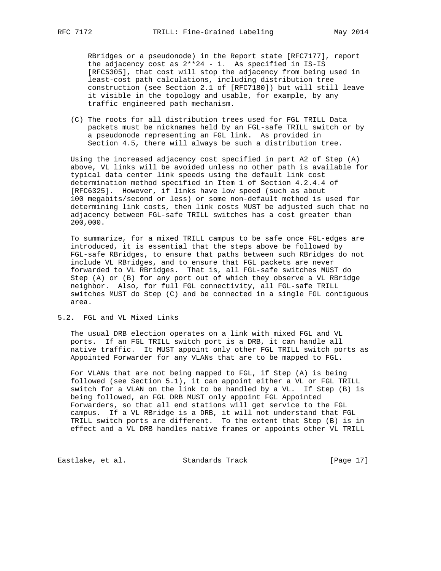RBridges or a pseudonode) in the Report state [RFC7177], report the adjacency cost as 2\*\*24 - 1. As specified in IS-IS [RFC5305], that cost will stop the adjacency from being used in least-cost path calculations, including distribution tree construction (see Section 2.1 of [RFC7180]) but will still leave it visible in the topology and usable, for example, by any traffic engineered path mechanism.

 (C) The roots for all distribution trees used for FGL TRILL Data packets must be nicknames held by an FGL-safe TRILL switch or by a pseudonode representing an FGL link. As provided in Section 4.5, there will always be such a distribution tree.

 Using the increased adjacency cost specified in part A2 of Step (A) above, VL links will be avoided unless no other path is available for typical data center link speeds using the default link cost determination method specified in Item 1 of Section 4.2.4.4 of [RFC6325]. However, if links have low speed (such as about 100 megabits/second or less) or some non-default method is used for determining link costs, then link costs MUST be adjusted such that no adjacency between FGL-safe TRILL switches has a cost greater than 200,000.

 To summarize, for a mixed TRILL campus to be safe once FGL-edges are introduced, it is essential that the steps above be followed by FGL-safe RBridges, to ensure that paths between such RBridges do not include VL RBridges, and to ensure that FGL packets are never forwarded to VL RBridges. That is, all FGL-safe switches MUST do Step (A) or (B) for any port out of which they observe a VL RBridge neighbor. Also, for full FGL connectivity, all FGL-safe TRILL switches MUST do Step (C) and be connected in a single FGL contiguous area.

#### 5.2. FGL and VL Mixed Links

 The usual DRB election operates on a link with mixed FGL and VL ports. If an FGL TRILL switch port is a DRB, it can handle all native traffic. It MUST appoint only other FGL TRILL switch ports as Appointed Forwarder for any VLANs that are to be mapped to FGL.

 For VLANs that are not being mapped to FGL, if Step (A) is being followed (see Section 5.1), it can appoint either a VL or FGL TRILL switch for a VLAN on the link to be handled by a VL. If Step (B) is being followed, an FGL DRB MUST only appoint FGL Appointed Forwarders, so that all end stations will get service to the FGL campus. If a VL RBridge is a DRB, it will not understand that FGL TRILL switch ports are different. To the extent that Step (B) is in effect and a VL DRB handles native frames or appoints other VL TRILL

Eastlake, et al. Standards Track [Page 17]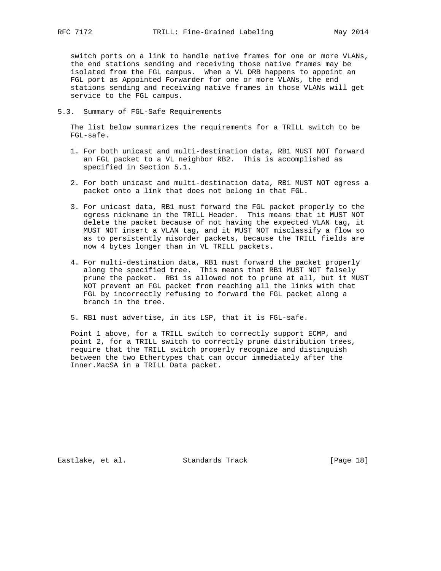switch ports on a link to handle native frames for one or more VLANs, the end stations sending and receiving those native frames may be isolated from the FGL campus. When a VL DRB happens to appoint an FGL port as Appointed Forwarder for one or more VLANs, the end stations sending and receiving native frames in those VLANs will get service to the FGL campus.

5.3. Summary of FGL-Safe Requirements

 The list below summarizes the requirements for a TRILL switch to be FGL-safe.

- 1. For both unicast and multi-destination data, RB1 MUST NOT forward an FGL packet to a VL neighbor RB2. This is accomplished as specified in Section 5.1.
- 2. For both unicast and multi-destination data, RB1 MUST NOT egress a packet onto a link that does not belong in that FGL.
- 3. For unicast data, RB1 must forward the FGL packet properly to the egress nickname in the TRILL Header. This means that it MUST NOT delete the packet because of not having the expected VLAN tag, it MUST NOT insert a VLAN tag, and it MUST NOT misclassify a flow so as to persistently misorder packets, because the TRILL fields are now 4 bytes longer than in VL TRILL packets.
- 4. For multi-destination data, RB1 must forward the packet properly along the specified tree. This means that RB1 MUST NOT falsely prune the packet. RB1 is allowed not to prune at all, but it MUST NOT prevent an FGL packet from reaching all the links with that FGL by incorrectly refusing to forward the FGL packet along a branch in the tree.
- 5. RB1 must advertise, in its LSP, that it is FGL-safe.

 Point 1 above, for a TRILL switch to correctly support ECMP, and point 2, for a TRILL switch to correctly prune distribution trees, require that the TRILL switch properly recognize and distinguish between the two Ethertypes that can occur immediately after the Inner.MacSA in a TRILL Data packet.

Eastlake, et al. Standards Track [Page 18]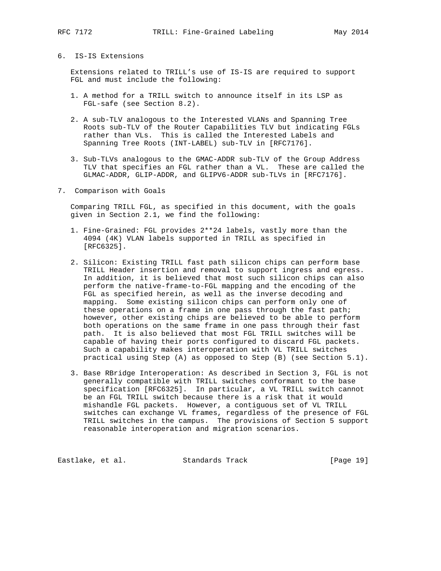# 6. IS-IS Extensions

 Extensions related to TRILL's use of IS-IS are required to support FGL and must include the following:

- 1. A method for a TRILL switch to announce itself in its LSP as FGL-safe (see Section 8.2).
- 2. A sub-TLV analogous to the Interested VLANs and Spanning Tree Roots sub-TLV of the Router Capabilities TLV but indicating FGLs rather than VLs. This is called the Interested Labels and Spanning Tree Roots (INT-LABEL) sub-TLV in [RFC7176].
- 3. Sub-TLVs analogous to the GMAC-ADDR sub-TLV of the Group Address TLV that specifies an FGL rather than a VL. These are called the GLMAC-ADDR, GLIP-ADDR, and GLIPV6-ADDR sub-TLVs in [RFC7176].
- 7. Comparison with Goals

 Comparing TRILL FGL, as specified in this document, with the goals given in Section 2.1, we find the following:

- 1. Fine-Grained: FGL provides 2\*\*24 labels, vastly more than the 4094 (4K) VLAN labels supported in TRILL as specified in [RFC6325].
- 2. Silicon: Existing TRILL fast path silicon chips can perform base TRILL Header insertion and removal to support ingress and egress. In addition, it is believed that most such silicon chips can also perform the native-frame-to-FGL mapping and the encoding of the FGL as specified herein, as well as the inverse decoding and mapping. Some existing silicon chips can perform only one of these operations on a frame in one pass through the fast path; however, other existing chips are believed to be able to perform both operations on the same frame in one pass through their fast path. It is also believed that most FGL TRILL switches will be capable of having their ports configured to discard FGL packets. Such a capability makes interoperation with VL TRILL switches practical using Step (A) as opposed to Step (B) (see Section 5.1).
- 3. Base RBridge Interoperation: As described in Section 3, FGL is not generally compatible with TRILL switches conformant to the base specification [RFC6325]. In particular, a VL TRILL switch cannot be an FGL TRILL switch because there is a risk that it would mishandle FGL packets. However, a contiguous set of VL TRILL switches can exchange VL frames, regardless of the presence of FGL TRILL switches in the campus. The provisions of Section 5 support reasonable interoperation and migration scenarios.

Eastlake, et al. Standards Track [Page 19]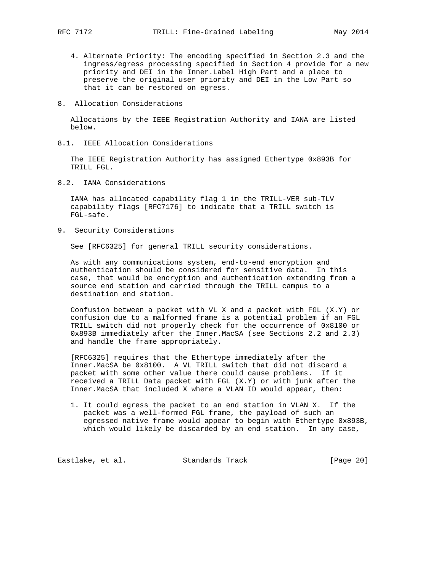- 4. Alternate Priority: The encoding specified in Section 2.3 and the ingress/egress processing specified in Section 4 provide for a new priority and DEI in the Inner.Label High Part and a place to preserve the original user priority and DEI in the Low Part so that it can be restored on egress.
- 8. Allocation Considerations

 Allocations by the IEEE Registration Authority and IANA are listed below.

8.1. IEEE Allocation Considerations

 The IEEE Registration Authority has assigned Ethertype 0x893B for TRILL FGL.

8.2. IANA Considerations

 IANA has allocated capability flag 1 in the TRILL-VER sub-TLV capability flags [RFC7176] to indicate that a TRILL switch is FGL-safe.

9. Security Considerations

See [RFC6325] for general TRILL security considerations.

 As with any communications system, end-to-end encryption and authentication should be considered for sensitive data. In this case, that would be encryption and authentication extending from a source end station and carried through the TRILL campus to a destination end station.

 Confusion between a packet with VL X and a packet with FGL (X.Y) or confusion due to a malformed frame is a potential problem if an FGL TRILL switch did not properly check for the occurrence of 0x8100 or 0x893B immediately after the Inner.MacSA (see Sections 2.2 and 2.3) and handle the frame appropriately.

 [RFC6325] requires that the Ethertype immediately after the Inner.MacSA be 0x8100. A VL TRILL switch that did not discard a packet with some other value there could cause problems. If it received a TRILL Data packet with FGL (X.Y) or with junk after the Inner.MacSA that included X where a VLAN ID would appear, then:

 1. It could egress the packet to an end station in VLAN X. If the packet was a well-formed FGL frame, the payload of such an egressed native frame would appear to begin with Ethertype 0x893B, which would likely be discarded by an end station. In any case,

Eastlake, et al. Standards Track [Page 20]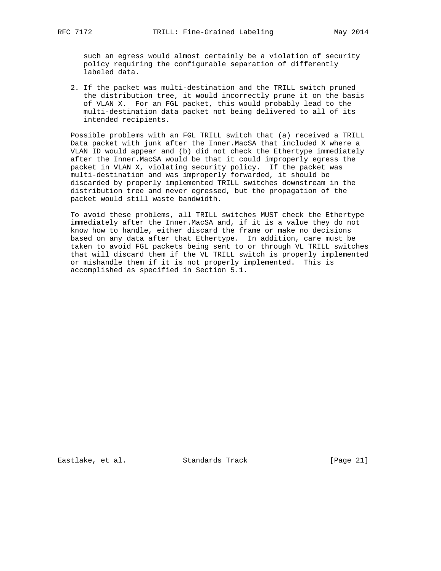such an egress would almost certainly be a violation of security policy requiring the configurable separation of differently labeled data.

 2. If the packet was multi-destination and the TRILL switch pruned the distribution tree, it would incorrectly prune it on the basis of VLAN X. For an FGL packet, this would probably lead to the multi-destination data packet not being delivered to all of its intended recipients.

 Possible problems with an FGL TRILL switch that (a) received a TRILL Data packet with junk after the Inner.MacSA that included X where a VLAN ID would appear and (b) did not check the Ethertype immediately after the Inner.MacSA would be that it could improperly egress the packet in VLAN X, violating security policy. If the packet was multi-destination and was improperly forwarded, it should be discarded by properly implemented TRILL switches downstream in the distribution tree and never egressed, but the propagation of the packet would still waste bandwidth.

 To avoid these problems, all TRILL switches MUST check the Ethertype immediately after the Inner.MacSA and, if it is a value they do not know how to handle, either discard the frame or make no decisions based on any data after that Ethertype. In addition, care must be taken to avoid FGL packets being sent to or through VL TRILL switches that will discard them if the VL TRILL switch is properly implemented or mishandle them if it is not properly implemented. This is accomplished as specified in Section 5.1.

Eastlake, et al. Standards Track [Page 21]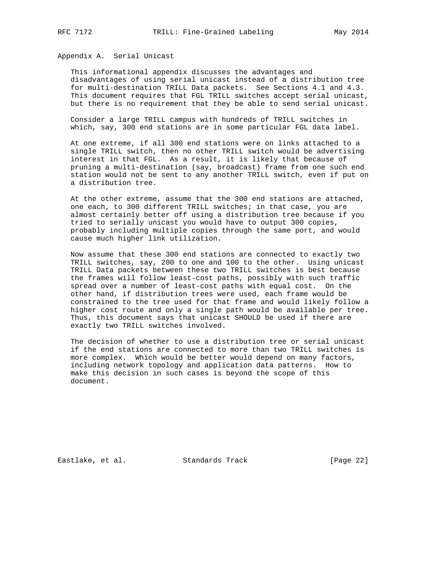Appendix A. Serial Unicast

 This informational appendix discusses the advantages and disadvantages of using serial unicast instead of a distribution tree for multi-destination TRILL Data packets. See Sections 4.1 and 4.3. This document requires that FGL TRILL switches accept serial unicast, but there is no requirement that they be able to send serial unicast.

 Consider a large TRILL campus with hundreds of TRILL switches in which, say, 300 end stations are in some particular FGL data label.

 At one extreme, if all 300 end stations were on links attached to a single TRILL switch, then no other TRILL switch would be advertising interest in that FGL. As a result, it is likely that because of pruning a multi-destination (say, broadcast) frame from one such end station would not be sent to any another TRILL switch, even if put on a distribution tree.

 At the other extreme, assume that the 300 end stations are attached, one each, to 300 different TRILL switches; in that case, you are almost certainly better off using a distribution tree because if you tried to serially unicast you would have to output 300 copies, probably including multiple copies through the same port, and would cause much higher link utilization.

 Now assume that these 300 end stations are connected to exactly two TRILL switches, say, 200 to one and 100 to the other. Using unicast TRILL Data packets between these two TRILL switches is best because the frames will follow least-cost paths, possibly with such traffic spread over a number of least-cost paths with equal cost. On the other hand, if distribution trees were used, each frame would be constrained to the tree used for that frame and would likely follow a higher cost route and only a single path would be available per tree. Thus, this document says that unicast SHOULD be used if there are exactly two TRILL switches involved.

 The decision of whether to use a distribution tree or serial unicast if the end stations are connected to more than two TRILL switches is more complex. Which would be better would depend on many factors, including network topology and application data patterns. How to make this decision in such cases is beyond the scope of this document.

Eastlake, et al. Standards Track [Page 22]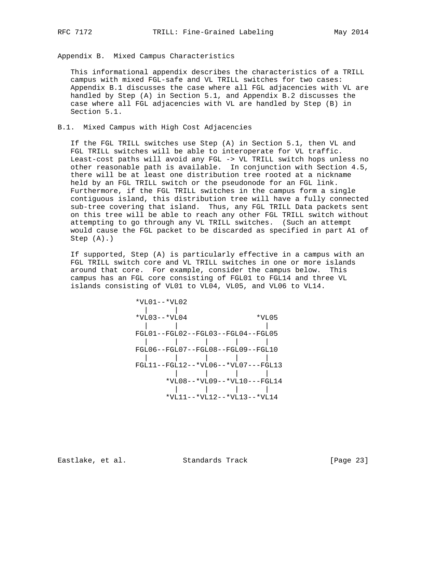Appendix B. Mixed Campus Characteristics

 This informational appendix describes the characteristics of a TRILL campus with mixed FGL-safe and VL TRILL switches for two cases: Appendix B.1 discusses the case where all FGL adjacencies with VL are handled by Step (A) in Section 5.1, and Appendix B.2 discusses the case where all FGL adjacencies with VL are handled by Step (B) in Section 5.1.

# B.1. Mixed Campus with High Cost Adjacencies

 If the FGL TRILL switches use Step (A) in Section 5.1, then VL and FGL TRILL switches will be able to interoperate for VL traffic. Least-cost paths will avoid any FGL -> VL TRILL switch hops unless no other reasonable path is available. In conjunction with Section 4.5, there will be at least one distribution tree rooted at a nickname held by an FGL TRILL switch or the pseudonode for an FGL link. Furthermore, if the FGL TRILL switches in the campus form a single contiguous island, this distribution tree will have a fully connected sub-tree covering that island. Thus, any FGL TRILL Data packets sent on this tree will be able to reach any other FGL TRILL switch without attempting to go through any VL TRILL switches. (Such an attempt would cause the FGL packet to be discarded as specified in part A1 of Step (A).)

 If supported, Step (A) is particularly effective in a campus with an FGL TRILL switch core and VL TRILL switches in one or more islands around that core. For example, consider the campus below. This campus has an FGL core consisting of FGL01 to FGL14 and three VL islands consisting of VL01 to VL04, VL05, and VL06 to VL14.

 \*VL01--\*VL02 |<br>\*VL03--\*VL04  $*$ VL05 | | | FGL01--FGL02--FGL03--FGL04--FGL05 | | | | | FGL06--FGL07--FGL08--FGL09--FGL10 | | | | | FGL11--FGL12--\*VL06--\*VL07---FGL13 | | | | \*VL08--\*VL09--\*VL10---FGL14 | | | | \*VL11--\*VL12--\*VL13--\*VL14

Eastlake, et al. Standards Track [Page 23]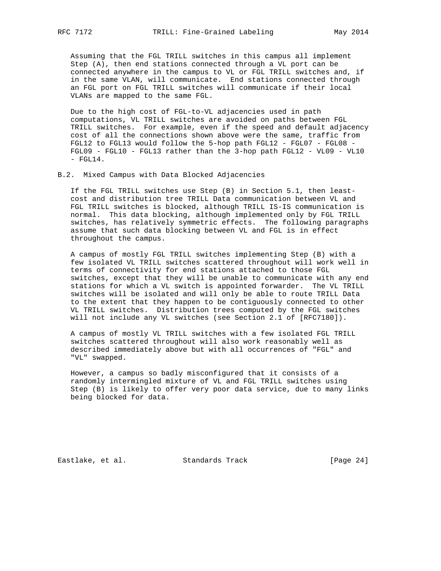Assuming that the FGL TRILL switches in this campus all implement Step (A), then end stations connected through a VL port can be connected anywhere in the campus to VL or FGL TRILL switches and, if in the same VLAN, will communicate. End stations connected through an FGL port on FGL TRILL switches will communicate if their local VLANs are mapped to the same FGL.

 Due to the high cost of FGL-to-VL adjacencies used in path computations, VL TRILL switches are avoided on paths between FGL TRILL switches. For example, even if the speed and default adjacency cost of all the connections shown above were the same, traffic from FGL12 to FGL13 would follow the 5-hop path FGL12 - FGL07 - FGL08 - FGL09 - FGL10 - FGL13 rather than the 3-hop path FGL12 - VL09 - VL10  $-$  FGL14.

B.2. Mixed Campus with Data Blocked Adjacencies

 If the FGL TRILL switches use Step (B) in Section 5.1, then least cost and distribution tree TRILL Data communication between VL and FGL TRILL switches is blocked, although TRILL IS-IS communication is normal. This data blocking, although implemented only by FGL TRILL switches, has relatively symmetric effects. The following paragraphs assume that such data blocking between VL and FGL is in effect throughout the campus.

 A campus of mostly FGL TRILL switches implementing Step (B) with a few isolated VL TRILL switches scattered throughout will work well in terms of connectivity for end stations attached to those FGL switches, except that they will be unable to communicate with any end stations for which a VL switch is appointed forwarder. The VL TRILL switches will be isolated and will only be able to route TRILL Data to the extent that they happen to be contiguously connected to other VL TRILL switches. Distribution trees computed by the FGL switches will not include any VL switches (see Section 2.1 of [RFC7180]).

 A campus of mostly VL TRILL switches with a few isolated FGL TRILL switches scattered throughout will also work reasonably well as described immediately above but with all occurrences of "FGL" and "VL" swapped.

 However, a campus so badly misconfigured that it consists of a randomly intermingled mixture of VL and FGL TRILL switches using Step (B) is likely to offer very poor data service, due to many links being blocked for data.

Eastlake, et al. Standards Track [Page 24]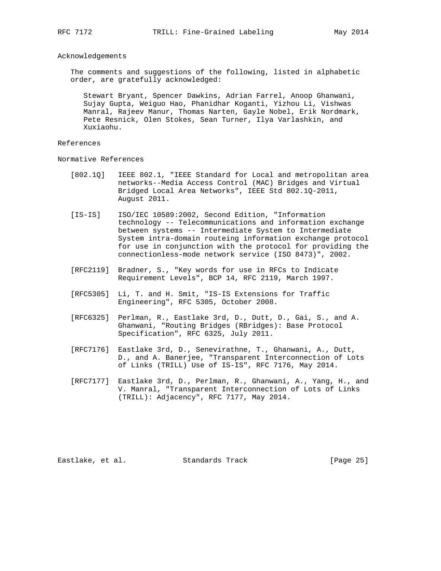### Acknowledgements

 The comments and suggestions of the following, listed in alphabetic order, are gratefully acknowledged:

 Stewart Bryant, Spencer Dawkins, Adrian Farrel, Anoop Ghanwani, Sujay Gupta, Weiguo Hao, Phanidhar Koganti, Yizhou Li, Vishwas Manral, Rajeev Manur, Thomas Narten, Gayle Nobel, Erik Nordmark, Pete Resnick, Olen Stokes, Sean Turner, Ilya Varlashkin, and Xuxiaohu.

#### References

Normative References

- [802.1Q] IEEE 802.1, "IEEE Standard for Local and metropolitan area networks--Media Access Control (MAC) Bridges and Virtual Bridged Local Area Networks", IEEE Std 802.1Q-2011, August 2011.
- [IS-IS] ISO/IEC 10589:2002, Second Edition, "Information technology -- Telecommunications and information exchange between systems -- Intermediate System to Intermediate System intra-domain routeing information exchange protocol for use in conjunction with the protocol for providing the connectionless-mode network service (ISO 8473)", 2002.
- [RFC2119] Bradner, S., "Key words for use in RFCs to Indicate Requirement Levels", BCP 14, RFC 2119, March 1997.
- [RFC5305] Li, T. and H. Smit, "IS-IS Extensions for Traffic Engineering", RFC 5305, October 2008.
- [RFC6325] Perlman, R., Eastlake 3rd, D., Dutt, D., Gai, S., and A. Ghanwani, "Routing Bridges (RBridges): Base Protocol Specification", RFC 6325, July 2011.
- [RFC7176] Eastlake 3rd, D., Senevirathne, T., Ghanwani, A., Dutt, D., and A. Banerjee, "Transparent Interconnection of Lots of Links (TRILL) Use of IS-IS", RFC 7176, May 2014.
- [RFC7177] Eastlake 3rd, D., Perlman, R., Ghanwani, A., Yang, H., and V. Manral, "Transparent Interconnection of Lots of Links (TRILL): Adjacency", RFC 7177, May 2014.

Eastlake, et al. Standards Track [Page 25]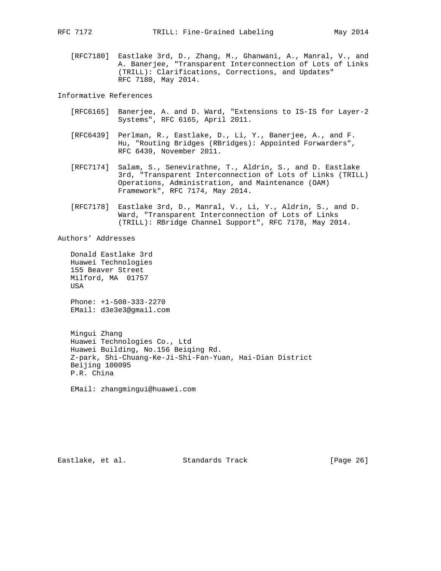[RFC7180] Eastlake 3rd, D., Zhang, M., Ghanwani, A., Manral, V., and A. Banerjee, "Transparent Interconnection of Lots of Links (TRILL): Clarifications, Corrections, and Updates" RFC 7180, May 2014.

Informative References

- [RFC6165] Banerjee, A. and D. Ward, "Extensions to IS-IS for Layer-2 Systems", RFC 6165, April 2011.
- [RFC6439] Perlman, R., Eastlake, D., Li, Y., Banerjee, A., and F. Hu, "Routing Bridges (RBridges): Appointed Forwarders", RFC 6439, November 2011.
- [RFC7174] Salam, S., Senevirathne, T., Aldrin, S., and D. Eastlake 3rd, "Transparent Interconnection of Lots of Links (TRILL) Operations, Administration, and Maintenance (OAM) Framework", RFC 7174, May 2014.
- [RFC7178] Eastlake 3rd, D., Manral, V., Li, Y., Aldrin, S., and D. Ward, "Transparent Interconnection of Lots of Links (TRILL): RBridge Channel Support", RFC 7178, May 2014.

Authors' Addresses

 Donald Eastlake 3rd Huawei Technologies 155 Beaver Street Milford, MA 01757 USA

 Phone: +1-508-333-2270 EMail: d3e3e3@gmail.com

 Mingui Zhang Huawei Technologies Co., Ltd Huawei Building, No.156 Beiqing Rd. Z-park, Shi-Chuang-Ke-Ji-Shi-Fan-Yuan, Hai-Dian District Beijing 100095 P.R. China

EMail: zhangmingui@huawei.com

Eastlake, et al. Standards Track [Page 26]